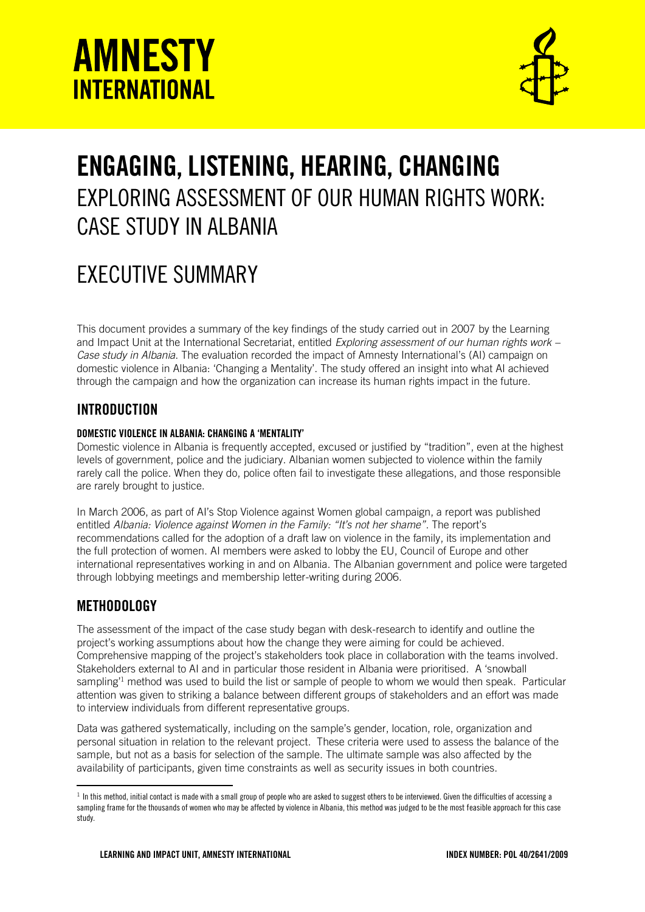



# ENGAGING, LISTENING, HEARING, CHANGING EXPLORING ASSESSMENT OF OUR HUMAN RIGHTS WORK: CASE STUDY IN ALBANIA

# EXECUTIVE SUMMARY

This document provides a summary of the key findings of the study carried out in 2007 by the Learning and Impact Unit at the International Secretariat, entitled *Exploring assessment of our human rights work – Case study in Albania*. The evaluation recorded the impact of Amnesty International's (AI) campaign on domestic violence in Albania: 'Changing a Mentality'. The study offered an insight into what AI achieved through the campaign and how the organization can increase its human rights impact in the future.

### **INTRODUCTION**

#### DOMESTIC VIOLENCE IN ALBANIA: CHANGING A 'MENTALITY'

Domestic violence in Albania is frequently accepted, excused or justified by "tradition", even at the highest levels of government, police and the judiciary. Albanian women subjected to violence within the family rarely call the police. When they do, police often fail to investigate these allegations, and those responsible are rarely brought to justice.

In March 2006, as part of AI's Stop Violence against Women global campaign, a report was published entitled *Albania: Violence against Women in the Family: "It's not her shame"*. The report's recommendations called for the adoption of a draft law on violence in the family, its implementation and the full protection of women. AI members were asked to lobby the EU, Council of Europe and other international representatives working in and on Albania. The Albanian government and police were targeted through lobbying meetings and membership letter-writing during 2006.

### **METHODOLOGY**

1

The assessment of the impact of the case study began with desk-research to identify and outline the project's working assumptions about how the change they were aiming for could be achieved. Comprehensive mapping of the project's stakeholders took place in collaboration with the teams involved. Stakeholders external to AI and in particular those resident in Albania were prioritised. A 'snowball sampling<sup>1</sup> method was used to build the list or sample of people to whom we would then speak. Particular attention was given to striking a balance between different groups of stakeholders and an effort was made to interview individuals from different representative groups.

Data was gathered systematically, including on the sample's gender, location, role, organization and personal situation in relation to the relevant project. These criteria were used to assess the balance of the sample, but not as a basis for selection of the sample. The ultimate sample was also affected by the availability of participants, given time constraints as well as security issues in both countries.

 $^{\rm 1}$  In this method, initial contact is made with a small group of people who are asked to suggest others to be interviewed. Given the difficulties of accessing a sampling frame for the thousands of women who may be affected by violence in Albania, this method was judged to be the most feasible approach for this case study.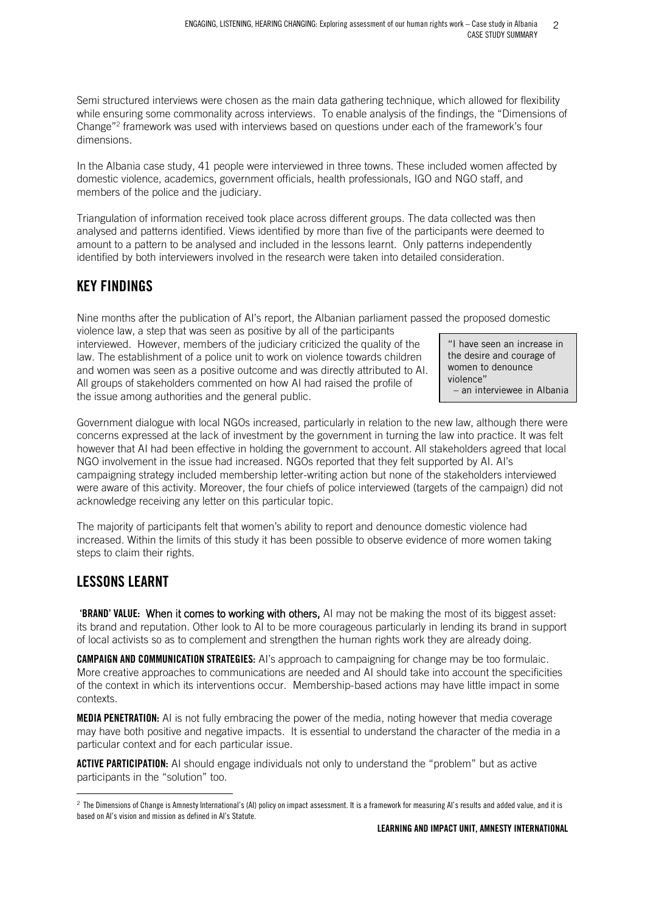Semi structured interviews were chosen as the main data gathering technique, which allowed for flexibility while ensuring some commonality across interviews. To enable analysis of the findings, the "Dimensions of Change"<sup>2</sup> framework was used with interviews based on questions under each of the framework's four dimensions.

In the Albania case study, 41 people were interviewed in three towns. These included women affected by domestic violence, academics, government officials, health professionals, IGO and NGO staff, and members of the police and the judiciary.

Triangulation of information received took place across different groups. The data collected was then analysed and patterns identified. Views identified by more than five of the participants were deemed to amount to a pattern to be analysed and included in the lessons learnt. Only patterns independently identified by both interviewers involved in the research were taken into detailed consideration.

## KEY FINDINGS

Nine months after the publication of AI's report, the Albanian parliament passed the proposed domestic

violence law, a step that was seen as positive by all of the participants interviewed. However, members of the judiciary criticized the quality of the law. The establishment of a police unit to work on violence towards children and women was seen as a positive outcome and was directly attributed to AI. All groups of stakeholders commented on how AI had raised the profile of the issue among authorities and the general public.

"I have seen an increase in the desire and courage of women to denounce violence" – an interviewee in Albania

Government dialogue with local NGOs increased, particularly in relation to the new law, although there were concerns expressed at the lack of investment by the government in turning the law into practice. It was felt however that AI had been effective in holding the government to account. All stakeholders agreed that local NGO involvement in the issue had increased. NGOs reported that they felt supported by AI. AI's campaigning strategy included membership letter-writing action but none of the stakeholders interviewed were aware of this activity. Moreover, the four chiefs of police interviewed (targets of the campaign) did not acknowledge receiving any letter on this particular topic.

The majority of participants felt that women's ability to report and denounce domestic violence had increased. Within the limits of this study it has been possible to observe evidence of more women taking steps to claim their rights.

# LESSONS LEARNT

<u>.</u>

'BRAND' VALUE: When it comes to working with others, AI may not be making the most of its biggest asset: its brand and reputation. Other look to AI to be more courageous particularly in lending its brand in support of local activists so as to complement and strengthen the human rights work they are already doing.

**CAMPAIGN AND COMMUNICATION STRATEGIES:** AI's approach to campaigning for change may be too formulaic. More creative approaches to communications are needed and AI should take into account the specificities of the context in which its interventions occur. Membership-based actions may have little impact in some contexts.

**MEDIA PENETRATION:** AI is not fully embracing the power of the media, noting however that media coverage may have both positive and negative impacts. It is essential to understand the character of the media in a particular context and for each particular issue.

ACTIVE PARTICIPATION: AI should engage individuals not only to understand the "problem" but as active participants in the "solution" too.

 $^2$  The Dimensions of Change is Amnesty International's (AI) policy on impact assessment. It is a framework for measuring AI's results and added value, and it is based on AI's vision and mission as defined in AI's Statute.